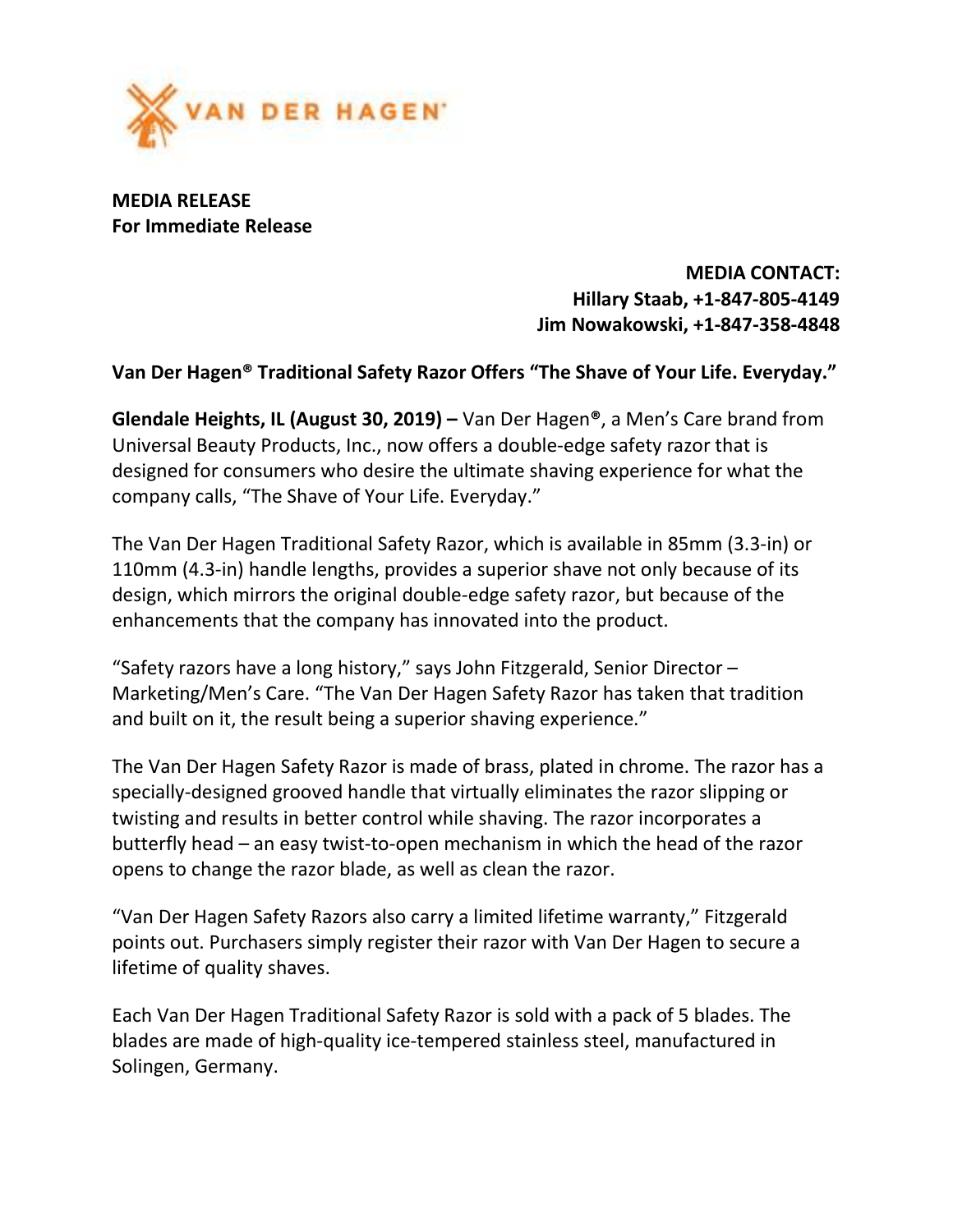

MEDIA RELEASE For Immediate Release

> MEDIA CONTACT: Hillary Staab, +1-847-805-4149 Jim Nowakowski, +1-847-358-4848

## Van Der Hagen® Traditional Safety Razor Offers "The Shave of Your Life. Everyday."

Glendale Heights, IL (August 30, 2019) – Van Der Hagen®, a Men's Care brand from Universal Beauty Products, Inc., now offers a double-edge safety razor that is designed for consumers who desire the ultimate shaving experience for what the company calls, "The Shave of Your Life. Everyday."

The Van Der Hagen Traditional Safety Razor, which is available in 85mm (3.3-in) or 110mm (4.3-in) handle lengths, provides a superior shave not only because of its design, which mirrors the original double-edge safety razor, but because of the enhancements that the company has innovated into the product.

"Safety razors have a long history," says John Fitzgerald, Senior Director – Marketing/Men's Care. "The Van Der Hagen Safety Razor has taken that tradition and built on it, the result being a superior shaving experience."

The Van Der Hagen Safety Razor is made of brass, plated in chrome. The razor has a specially-designed grooved handle that virtually eliminates the razor slipping or twisting and results in better control while shaving. The razor incorporates a butterfly head – an easy twist-to-open mechanism in which the head of the razor opens to change the razor blade, as well as clean the razor.

"Van Der Hagen Safety Razors also carry a limited lifetime warranty," Fitzgerald points out. Purchasers simply register their razor with Van Der Hagen to secure a lifetime of quality shaves.

Each Van Der Hagen Traditional Safety Razor is sold with a pack of 5 blades. The blades are made of high-quality ice-tempered stainless steel, manufactured in Solingen, Germany.